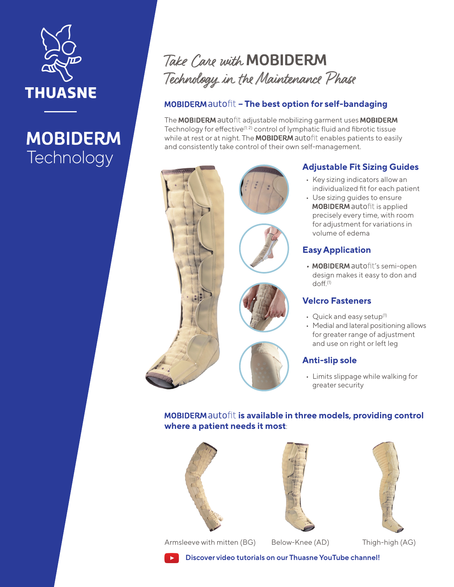

# **MOBIDERM Technology**

## Take Care with MOBIDERM Technology in the Maintenance Phase

### **MOBIDERMautofit - The best option for self-bandaging**

The MOBIDERM autofit adjustable mobilizing garment uses MOBIDERM Technology for effective<sup> $(1; 2)$ </sup> control of lymphatic fluid and fibrotic tissue while at rest or at night. The MOBIDERM autofit enables patients to easily and consistently take control of their own self-management.



## **Adjustable Fit Sizing Guides**

- Key sizing indicators allow an individualized fit for each patient
- Use sizing guides to ensure **MOBIDERM** autofit is applied precisely every time, with room for adjustment for variations in volume of edema

### **Easy Application**

• MOBIDERM autofit's semi-open design makes it easy to don and doff.(1)

#### **Velcro Fasteners**

- Quick and easy setup<sup>(1)</sup>
- Medial and lateral positioning allows for greater range of adjustment and use on right or left leg

### **Anti-slip sole**

• Limits slippage while walking for greater security

**MOBIDERM autofit is available in three models, providing control where a patient needs it most**:







Armsleeve with mitten (BG) Below-Knee (AD) Thigh-high (AG)

**Discover video tutorials on our Thuasne YouTube channel!**